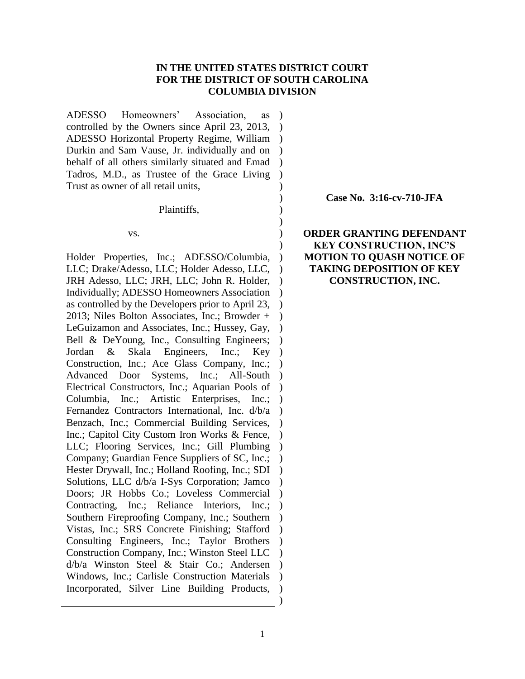## **IN THE UNITED STATES DISTRICT COURT FOR THE DISTRICT OF SOUTH CAROLINA COLUMBIA DIVISION**

) ) ) ) ) )

ADESSO Homeowners' Association, as controlled by the Owners since April 23, 2013, ADESSO Horizontal Property Regime, William ) Durkin and Sam Vause, Jr. individually and on behalf of all others similarly situated and Emad Tadros, M.D., as Trustee of the Grace Living Trust as owner of all retail units, ) ) )  $\lambda$  $\lambda$ 

Plaintiffs,

vs.

Holder Properties, Inc.; ADESSO/Columbia, LLC; Drake/Adesso, LLC; Holder Adesso, LLC, JRH Adesso, LLC; JRH, LLC; John R. Holder, Individually; ADESSO Homeowners Association ) as controlled by the Developers prior to April 23, 2013; Niles Bolton Associates, Inc.; Browder + LeGuizamon and Associates, Inc.; Hussey, Gay, Bell & DeYoung, Inc., Consulting Engineers; Jordan & Skala Engineers, Inc.; Construction, Inc.; Ace Glass Company, Inc.; ) Advanced Door Systems, Inc.; All-South Electrical Constructors, Inc.; Aquarian Pools of ) Columbia, Inc.; Artistic Enterprises, Inc.; Fernandez Contractors International, Inc. d/b/a Benzach, Inc.; Commercial Building Services, Inc.; Capitol City Custom Iron Works & Fence, LLC; Flooring Services, Inc.; Gill Plumbing Company; Guardian Fence Suppliers of SC, Inc.; Hester Drywall, Inc.; Holland Roofing, Inc.; SDI Solutions, LLC d/b/a I-Sys Corporation; Jamco Doors; JR Hobbs Co.; Loveless Commercial Contracting, Inc.; Reliance Interiors, Inc.; ) Southern Fireproofing Company, Inc.; Southern Vistas, Inc.; SRS Concrete Finishing; Stafford ) Consulting Engineers, Inc.; Taylor Brothers Construction Company, Inc.; Winston Steel LLC d/b/a Winston Steel & Stair Co.; Andersen ) Windows, Inc.; Carlisle Construction Materials Incorporated, Silver Line Building Products, )  $\lambda$  $\lambda$  $\lambda$  $\lambda$  $\lambda$  $\lambda$  $Key$ ) )  $\lambda$ )  $\lambda$  $\lambda$  $\lambda$  $\lambda$  $\lambda$  $\lambda$  $\lambda$  $\lambda$  $\lambda$  $\lambda$ ) )

**Case No. 3:16-cv-710-JFA**

**ORDER GRANTING DEFENDANT KEY CONSTRUCTION, INC'S MOTION TO QUASH NOTICE OF TAKING DEPOSITION OF KEY CONSTRUCTION, INC.**